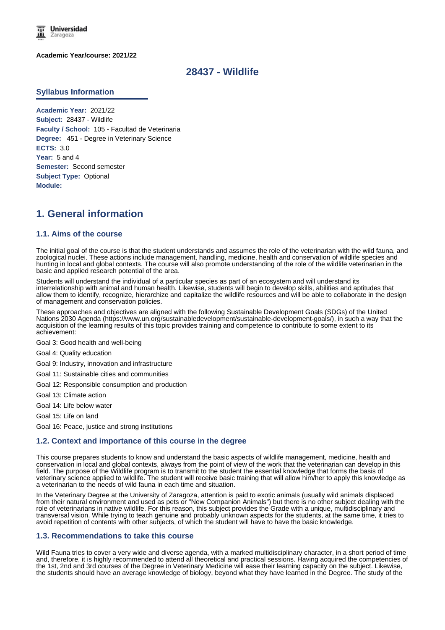

**Academic Year/course: 2021/22**

## **28437 - Wildlife**

#### **Syllabus Information**

**Academic Year:** 2021/22 **Subject:** 28437 - Wildlife **Faculty / School:** 105 - Facultad de Veterinaria **Degree:** 451 - Degree in Veterinary Science **ECTS:** 3.0 **Year:** 5 and 4 **Semester:** Second semester **Subject Type:** Optional **Module:**

## **1. General information**

#### **1.1. Aims of the course**

The initial goal of the course is that the student understands and assumes the role of the veterinarian with the wild fauna, and zoological nuclei. These actions include management, handling, medicine, health and conservation of wildlife species and hunting in local and global contexts. The course will also promote understanding of the role of the wildlife veterinarian in the basic and applied research potential of the area.

Students will understand the individual of a particular species as part of an ecosystem and will understand its interrelationship with animal and human health. Likewise, students will begin to develop skills, abilities and aptitudes that allow them to identify, recognize, hierarchize and capitalize the wildlife resources and will be able to collaborate in the design of management and conservation policies.

These approaches and objectives are aligned with the following Sustainable Development Goals (SDGs) of the United Nations 2030 Agenda (https://www.un.org/sustainabledevelopment/sustainable-development-goals/), in such a way that the acquisition of the learning results of this topic provides training and competence to contribute to some extent to its achievement:

Goal 3: Good health and well-being

Goal 4: Quality education

- Goal 9: Industry, innovation and infrastructure
- Goal 11: Sustainable cities and communities
- Goal 12: Responsible consumption and production
- Goal 13: Climate action
- Goal 14: Life below water
- Goal 15: Life on land

Goal 16: Peace, justice and strong institutions

#### **1.2. Context and importance of this course in the degree**

This course prepares students to know and understand the basic aspects of wildlife management, medicine, health and conservation in local and global contexts, always from the point of view of the work that the veterinarian can develop in this field. The purpose of the Wildlife program is to transmit to the student the essential knowledge that forms the basis of veterinary science applied to wildlife. The student will receive basic training that will allow him/her to apply this knowledge as a veterinarian to the needs of wild fauna in each time and situation.

In the Veterinary Degree at the University of Zaragoza, attention is paid to exotic animals (usually wild animals displaced from their natural environment and used as pets or "New Companion Animals") but there is no other subject dealing with the role of veterinarians in native wildlife. For this reason, this subject provides the Grade with a unique, multidisciplinary and transversal vision. While trying to teach genuine and probably unknown aspects for the students, at the same time, it tries to avoid repetition of contents with other subjects, of which the student will have to have the basic knowledge.

#### **1.3. Recommendations to take this course**

Wild Fauna tries to cover a very wide and diverse agenda, with a marked multidisciplinary character, in a short period of time and, therefore, it is highly recommended to attend all theoretical and practical sessions. Having acquired the competencies of the 1st, 2nd and 3rd courses of the Degree in Veterinary Medicine will ease their learning capacity on the subject. Likewise, the students should have an average knowledge of biology, beyond what they have learned in the Degree. The study of the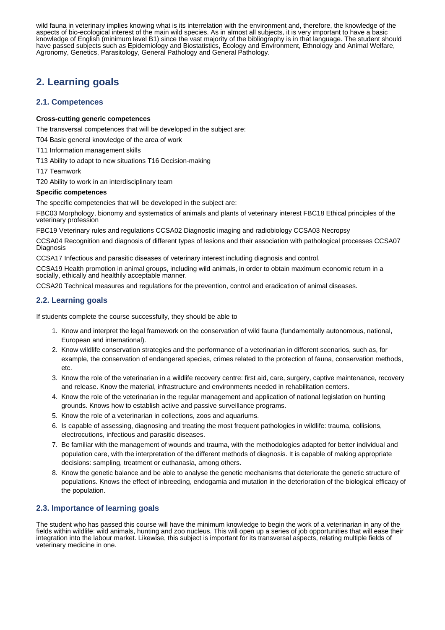the students should have an average knowledge of biology, beyond what they have learned in the Degree. The study of the wild fauna in veterinary implies knowing what is its interrelation with the environment and, therefore, the knowledge of the aspects of bio-ecological interest of the main wild species. As in almost all subjects, it is very important to have a basic knowledge of English (minimum level B1) since the vast majority of the bibliography is in that language. The student should have passed subjects such as Epidemiology and Biostatistics, Ecology and Environment, Ethnology and Animal Welfare, Agronomy, Genetics, Parasitology, General Pathology and General Pathology.

# **2. Learning goals**

### **2.1. Competences**

#### **Cross-cutting generic competences**

The transversal competences that will be developed in the subject are:

T04 Basic general knowledge of the area of work

- T11 Information management skills
- T13 Ability to adapt to new situations T16 Decision-making

T17 Teamwork

T20 Ability to work in an interdisciplinary team

### **Specific competences**

The specific competencies that will be developed in the subject are:

FBC03 Morphology, bionomy and systematics of animals and plants of veterinary interest FBC18 Ethical principles of the veterinary profession

FBC19 Veterinary rules and regulations CCSA02 Diagnostic imaging and radiobiology CCSA03 Necropsy

CCSA04 Recognition and diagnosis of different types of lesions and their association with pathological processes CCSA07 Diagnosis

CCSA17 Infectious and parasitic diseases of veterinary interest including diagnosis and control.

CCSA19 Health promotion in animal groups, including wild animals, in order to obtain maximum economic return in a socially, ethically and healthily acceptable manner.

CCSA20 Technical measures and regulations for the prevention, control and eradication of animal diseases.

## **2.2. Learning goals**

If students complete the course successfully, they should be able to

- 1. Know and interpret the legal framework on the conservation of wild fauna (fundamentally autonomous, national, European and international).
- 2. Know wildlife conservation strategies and the performance of a veterinarian in different scenarios, such as, for example, the conservation of endangered species, crimes related to the protection of fauna, conservation methods, etc.
- 3. Know the role of the veterinarian in a wildlife recovery centre: first aid, care, surgery, captive maintenance, recovery and release. Know the material, infrastructure and environments needed in rehabilitation centers.
- 4. Know the role of the veterinarian in the regular management and application of national legislation on hunting grounds. Knows how to establish active and passive surveillance programs.
- 5. Know the role of a veterinarian in collections, zoos and aquariums.
- 6. Is capable of assessing, diagnosing and treating the most frequent pathologies in wildlife: trauma, collisions, electrocutions, infectious and parasitic diseases.
- 7. Be familiar with the management of wounds and trauma, with the methodologies adapted for better individual and population care, with the interpretation of the different methods of diagnosis. It is capable of making appropriate decisions: sampling, treatment or euthanasia, among others.
- 8. Know the genetic balance and be able to analyse the genetic mechanisms that deteriorate the genetic structure of populations. Knows the effect of inbreeding, endogamia and mutation in the deterioration of the biological efficacy of the population.

## **2.3. Importance of learning goals**

The student who has passed this course will have the minimum knowledge to begin the work of a veterinarian in any of the fields within wildlife: wild animals, hunting and zoo nucleus. This will open up a series of job opportunities that will ease their integration into the labour market. Likewise, this subject is important for its transversal aspects, relating multiple fields of veterinary medicine in one.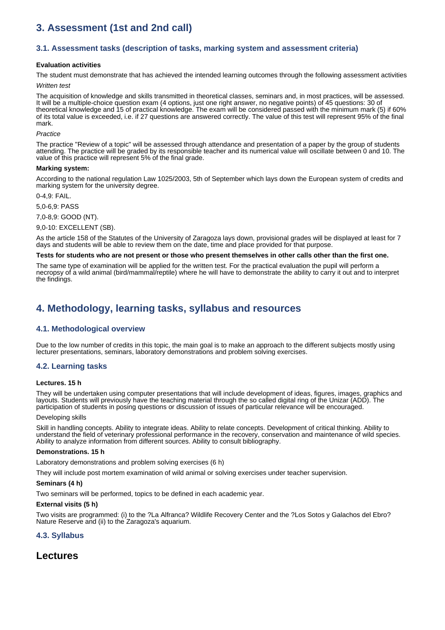# **3. Assessment (1st and 2nd call)**

### **3.1. Assessment tasks (description of tasks, marking system and assessment criteria)**

#### **Evaluation activities**

The student must demonstrate that has achieved the intended learning outcomes through the following assessment activities

#### *Written test*

The acquisition of knowledge and skills transmitted in theoretical classes, seminars and, in most practices, will be assessed. It will be a multiple-choice question exam (4 options, just one right answer, no negative points) of 45 questions: 30 of theoretical knowledge and 15 of practical knowledge. The exam will be considered passed with the minimum mark (5) if 60% of its total value is exceeded, i.e. if 27 questions are answered correctly. The value of this test will represent 95% of the final mark.

#### *Practice*

The practice "Review of a topic" will be assessed through attendance and presentation of a paper by the group of students attending. The practice will be graded by its responsible teacher and its numerical value will oscillate between 0 and 10. The value of this practice will represent 5% of the final grade.

#### **Marking system:**

According to the national regulation Law 1025/2003, 5th of September which lays down the European system of credits and marking system for the university degree.

 $0-4$ ,  $9$  FAIL.

5,0-6,9: PASS

7,0-8,9: GOOD (NT).

9,0-10: EXCELLENT (SB).

As the article 158 of the Statutes of the University of Zaragoza lays down, provisional grades will be displayed at least for 7 days and students will be able to review them on the date, time and place provided for that purpose.

#### **Tests for students who are not present or those who present themselves in other calls other than the first one.**

The same type of examination will be applied for the written test. For the practical evaluation the pupil will perform a necropsy of a wild animal (bird/mammal/reptile) where he will have to demonstrate the ability to carry it out and to interpret the findings.

## **4. Methodology, learning tasks, syllabus and resources**

#### **4.1. Methodological overview**

Due to the low number of credits in this topic, the main goal is to make an approach to the different subjects mostly using lecturer presentations, seminars, laboratory demonstrations and problem solving exercises.

#### **4.2. Learning tasks**

#### **Lectures. 15 h**

They will be undertaken using computer presentations that will include development of ideas, figures, images, graphics and layouts. Students will previously have the teaching material through the so called digital ring of the Unizar (ADD). The participation of students in posing questions or discussion of issues of particular relevance will be encouraged.

#### Developing skills

Skill in handling concepts. Ability to integrate ideas. Ability to relate concepts. Development of critical thinking. Ability to understand the field of veterinary professional performance in the recovery, conservation and maintenance of wild species. Ability to analyze information from different sources. Ability to consult bibliography.

#### **Demonstrations. 15 h**

Laboratory demonstrations and problem solving exercises (6 h)

They will include post mortem examination of wild animal or solving exercises under teacher supervision.

#### **Seminars (4 h)**

Two seminars will be performed, topics to be defined in each academic year.

#### **External visits (5 h)**

Two visits are programmed: (i) to the ?La Alfranca? Wildlife Recovery Center and the ?Los Sotos y Galachos del Ebro? Nature Reserve and (ii) to the Zaragoza's aquarium.

#### **4.3. Syllabus**

## **Lectures**